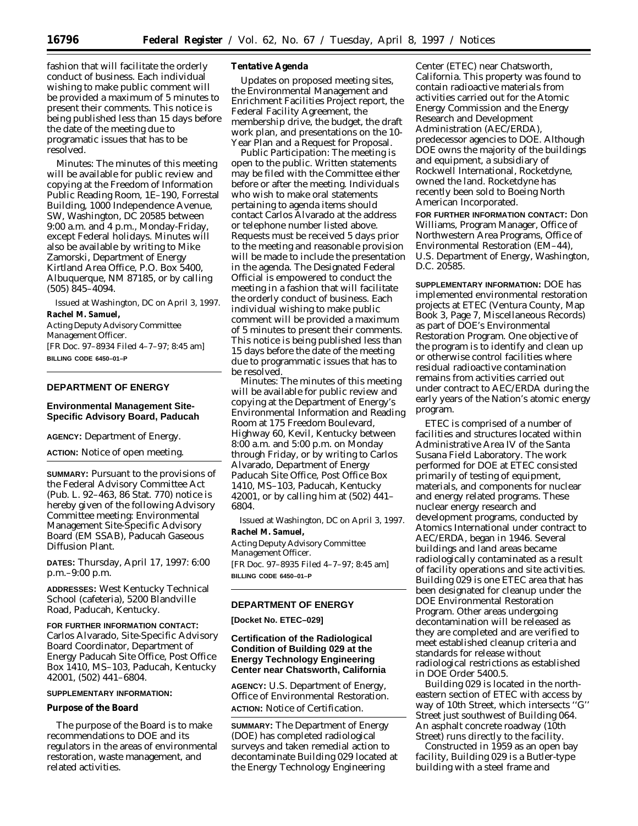fashion that will facilitate the orderly conduct of business. Each individual wishing to make public comment will be provided a maximum of 5 minutes to present their comments. This notice is being published less than 15 days before the date of the meeting due to programatic issues that has to be resolved.

*Minutes:* The minutes of this meeting will be available for public review and copying at the Freedom of Information Public Reading Room, 1E–190, Forrestal Building, 1000 Independence Avenue, SW, Washington, DC 20585 between 9:00 a.m. and 4 p.m., Monday-Friday, except Federal holidays. Minutes will also be available by writing to Mike Zamorski, Department of Energy Kirtland Area Office, P.O. Box 5400, Albuquerque, NM 87185, or by calling (505) 845–4094.

Issued at Washington, DC on April 3, 1997. **Rachel M. Samuel,**

*Acting Deputy Advisory Committee Management Officer.* [FR Doc. 97–8934 Filed 4–7–97; 8:45 am] **BILLING CODE 6450–01–P**

# **DEPARTMENT OF ENERGY**

## **Environmental Management Site-Specific Advisory Board, Paducah**

**AGENCY:** Department of Energy.

**ACTION:** Notice of open meeting.

**SUMMARY:** Pursuant to the provisions of the Federal Advisory Committee Act (Pub. L. 92–463, 86 Stat. 770) notice is hereby given of the following Advisory Committee meeting: Environmental Management Site-Specific Advisory Board (EM SSAB), Paducah Gaseous Diffusion Plant.

**DATES:** Thursday, April 17, 1997: 6:00 p.m.–9:00 p.m.

**ADDRESSES:** West Kentucky Technical School (cafeteria), 5200 Blandville Road, Paducah, Kentucky.

**FOR FURTHER INFORMATION CONTACT:** Carlos Alvarado, Site-Specific Advisory Board Coordinator, Department of Energy Paducah Site Office, Post Office Box 1410, MS–103, Paducah, Kentucky 42001, (502) 441–6804.

### **SUPPLEMENTARY INFORMATION:**

### **Purpose of the Board**

The purpose of the Board is to make recommendations to DOE and its regulators in the areas of environmental restoration, waste management, and related activities.

### **Tentative Agenda**

Updates on proposed meeting sites, the Environmental Management and Enrichment Facilities Project report, the Federal Facility Agreement, the membership drive, the budget, the draft work plan, and presentations on the 10- Year Plan and a Request for Proposal.

*Public Participation:* The meeting is open to the public. Written statements may be filed with the Committee either before or after the meeting. Individuals who wish to make oral statements pertaining to agenda items should contact Carlos Alvarado at the address or telephone number listed above. Requests must be received 5 days prior to the meeting and reasonable provision will be made to include the presentation in the agenda. The Designated Federal Official is empowered to conduct the meeting in a fashion that will facilitate the orderly conduct of business. Each individual wishing to make public comment will be provided a maximum of 5 minutes to present their comments. This notice is being published less than 15 days before the date of the meeting due to programmatic issues that has to be resolved.

*Minutes:* The minutes of this meeting will be available for public review and copying at the Department of Energy's Environmental Information and Reading Room at 175 Freedom Boulevard, Highway 60, Kevil, Kentucky between 8:00 a.m. and 5:00 p.m. on Monday through Friday, or by writing to Carlos Alvarado, Department of Energy Paducah Site Office, Post Office Box 1410, MS–103, Paducah, Kentucky 42001, or by calling him at (502) 441– 6804.

Issued at Washington, DC on April 3, 1997. **Rachel M. Samuel,**

*Acting Deputy Advisory Committee Management Officer.* [FR Doc. 97–8935 Filed 4–7–97; 8:45 am] **BILLING CODE 6450–01–P**

### **DEPARTMENT OF ENERGY**

**[Docket No. ETEC–029]**

# **Certification of the Radiological Condition of Building 029 at the Energy Technology Engineering Center near Chatsworth, California**

**AGENCY:** U.S. Department of Energy, Office of Environmental Restoration. **ACTION:** Notice of Certification.

**SUMMARY:** The Department of Energy (DOE) has completed radiological surveys and taken remedial action to decontaminate Building 029 located at the Energy Technology Engineering

Center (ETEC) near Chatsworth, California. This property was found to contain radioactive materials from activities carried out for the Atomic Energy Commission and the Energy Research and Development Administration (AEC/ERDA), predecessor agencies to DOE. Although DOE owns the majority of the buildings and equipment, a subsidiary of Rockwell International, Rocketdyne, owned the land. Rocketdyne has recently been sold to Boeing North American Incorporated.

**FOR FURTHER INFORMATION CONTACT:** Don Williams, Program Manager, Office of Northwestern Area Programs, Office of Environmental Restoration (EM–44), U.S. Department of Energy, Washington, D.C. 20585.

**SUPPLEMENTARY INFORMATION:** DOE has implemented environmental restoration projects at ETEC (Ventura County, Map Book 3, Page 7, Miscellaneous Records) as part of DOE's Environmental Restoration Program. One objective of the program is to identify and clean up or otherwise control facilities where residual radioactive contamination remains from activities carried out under contract to AEC/ERDA during the early years of the Nation's atomic energy program.

ETEC is comprised of a number of facilities and structures located within Administrative Area IV of the Santa Susana Field Laboratory. The work performed for DOE at ETEC consisted primarily of testing of equipment, materials, and components for nuclear and energy related programs. These nuclear energy research and development programs, conducted by Atomics International under contract to AEC/ERDA, began in 1946. Several buildings and land areas became radiologically contaminated as a result of facility operations and site activities. Building 029 is one ETEC area that has been designated for cleanup under the DOE Environmental Restoration Program. Other areas undergoing decontamination will be released as they are completed and are verified to meet established cleanup criteria and standards for release without radiological restrictions as established in DOE Order 5400.5.

Building 029 is located in the northeastern section of ETEC with access by way of 10th Street, which intersects ''G'' Street just southwest of Building 064. An asphalt concrete roadway (10th Street) runs directly to the facility.

Constructed in 1959 as an open bay facility, Building 029 is a Butler-type building with a steel frame and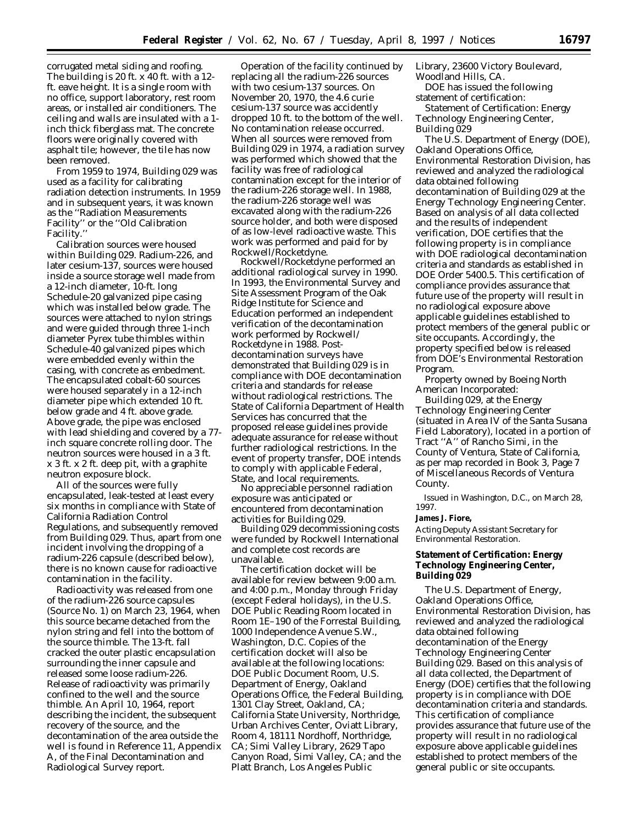corrugated metal siding and roofing. The building is 20 ft. x 40 ft. with a 12 ft. eave height. It is a single room with no office, support laboratory, rest room areas, or installed air conditioners. The ceiling and walls are insulated with a 1 inch thick fiberglass mat. The concrete floors were originally covered with asphalt tile; however, the tile has now been removed.

From 1959 to 1974, Building 029 was used as a facility for calibrating radiation detection instruments. In 1959 and in subsequent years, it was known as the ''Radiation Measurements Facility'' or the ''Old Calibration Facility.''

Calibration sources were housed within Building 029. Radium-226, and later cesium-137, sources were housed inside a source storage well made from a 12-inch diameter, 10-ft. long Schedule-20 galvanized pipe casing which was installed below grade. The sources were attached to nylon strings and were guided through three 1-inch diameter Pyrex tube thimbles within Schedule-40 galvanized pipes which were embedded evenly within the casing, with concrete as embedment. The encapsulated cobalt-60 sources were housed separately in a 12-inch diameter pipe which extended 10 ft. below grade and 4 ft. above grade. Above grade, the pipe was enclosed with lead shielding and covered by a 77 inch square concrete rolling door. The neutron sources were housed in a 3 ft. x 3 ft. x 2 ft. deep pit, with a graphite neutron exposure block.

All of the sources were fully encapsulated, leak-tested at least every six months in compliance with State of California Radiation Control Regulations, and subsequently removed from Building 029. Thus, apart from one incident involving the dropping of a radium-226 capsule (described below), there is no known cause for radioactive contamination in the facility.

Radioactivity was released from one of the radium-226 source capsules (Source No. 1) on March 23, 1964, when this source became detached from the nylon string and fell into the bottom of the source thimble. The 13-ft. fall cracked the outer plastic encapsulation surrounding the inner capsule and released some loose radium-226. Release of radioactivity was primarily confined to the well and the source thimble. An April 10, 1964, report describing the incident, the subsequent recovery of the source, and the decontamination of the area outside the well is found in Reference 11, Appendix A, of the Final Decontamination and Radiological Survey report.

Operation of the facility continued by replacing all the radium-226 sources with two cesium-137 sources. On November 20, 1970, the 4.6 curie cesium-137 source was accidently dropped 10 ft. to the bottom of the well. No contamination release occurred. When all sources were removed from Building 029 in 1974, a radiation survey was performed which showed that the facility was free of radiological contamination except for the interior of the radium-226 storage well. In 1988, the radium-226 storage well was excavated along with the radium-226 source holder, and both were disposed of as low-level radioactive waste. This work was performed and paid for by Rockwell/Rocketdyne.

Rockwell/Rocketdyne performed an additional radiological survey in 1990. In 1993, the Environmental Survey and Site Assessment Program of the Oak Ridge Institute for Science and Education performed an independent verification of the decontamination work performed by Rockwell/ Rocketdyne in 1988. Postdecontamination surveys have demonstrated that Building 029 is in compliance with DOE decontamination criteria and standards for release without radiological restrictions. The State of California Department of Health Services has concurred that the proposed release guidelines provide adequate assurance for release without further radiological restrictions. In the event of property transfer, DOE intends to comply with applicable Federal, State, and local requirements.

No appreciable personnel radiation exposure was anticipated or encountered from decontamination activities for Building 029.

Building 029 decommissioning costs were funded by Rockwell International and complete cost records are unavailable.

The certification docket will be available for review between 9:00 a.m. and 4:00 p.m., Monday through Friday (except Federal holidays), in the U.S. DOE Public Reading Room located in Room 1E–190 of the Forrestal Building, 1000 Independence Avenue S.W., Washington, D.C. Copies of the certification docket will also be available at the following locations: DOE Public Document Room, U.S. Department of Energy, Oakland Operations Office, the Federal Building, 1301 Clay Street, Oakland, CA; California State University, Northridge, Urban Archives Center, Oviatt Library, Room 4, 18111 Nordhoff, Northridge, CA; Simi Valley Library, 2629 Tapo Canyon Road, Simi Valley, CA; and the Platt Branch, Los Angeles Public

Library, 23600 Victory Boulevard, Woodland Hills, CA.

DOE has issued the following statement of certification:

*Statement of Certification:* Energy Technology Engineering Center, Building 029

The U.S. Department of Energy (DOE), Oakland Operations Office, Environmental Restoration Division, has reviewed and analyzed the radiological data obtained following decontamination of Building 029 at the Energy Technology Engineering Center. Based on analysis of all data collected and the results of independent verification, DOE certifies that the following property is in compliance with DOE radiological decontamination criteria and standards as established in DOE Order 5400.5. This certification of compliance provides assurance that future use of the property will result in no radiological exposure above applicable guidelines established to protect members of the general public or site occupants. Accordingly, the property specified below is released from DOE's Environmental Restoration Program.

Property owned by Boeing North American Incorporated:

Building 029, at the Energy Technology Engineering Center (situated in Area IV of the Santa Susana Field Laboratory), located in a portion of Tract ''A'' of Rancho Simi, in the County of Ventura, State of California, as per map recorded in Book 3, Page 7 of Miscellaneous Records of Ventura County.

Issued in Washington, D.C., on March 28, 1997.

### **James J. Fiore,**

*Acting Deputy Assistant Secretary for Environmental Restoration.*

### **Statement of Certification: Energy Technology Engineering Center, Building 029**

The U.S. Department of Energy, Oakland Operations Office, Environmental Restoration Division, has reviewed and analyzed the radiological data obtained following decontamination of the Energy Technology Engineering Center Building 029. Based on this analysis of all data collected, the Department of Energy (DOE) certifies that the following property is in compliance with DOE decontamination criteria and standards. This certification of compliance provides assurance that future use of the property will result in no radiological exposure above applicable guidelines established to protect members of the general public or site occupants.